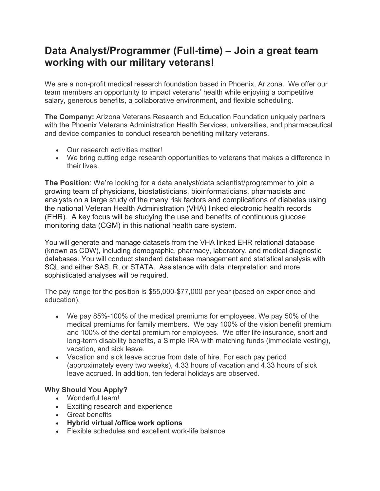## **Data Analyst/Programmer (Full-time) – Join a great team working with our military veterans!**

We are a non-profit medical research foundation based in Phoenix, Arizona. We offer our team members an opportunity to impact veterans' health while enjoying a competitive salary, generous benefits, a collaborative environment, and flexible scheduling.

**The Company:** Arizona Veterans Research and Education Foundation uniquely partners with the Phoenix Veterans Administration Health Services, universities, and pharmaceutical and device companies to conduct research benefiting military veterans.

- Our research activities matter!
- We bring cutting edge research opportunities to veterans that makes a difference in their lives.

**The Position**: We're looking for a data analyst/data scientist/programmer to join a growing team of physicians, biostatisticians, bioinformaticians, pharmacists and analysts on a large study of the many risk factors and complications of diabetes using the national Veteran Health Administration (VHA) linked electronic health records (EHR). A key focus will be studying the use and benefits of continuous glucose monitoring data (CGM) in this national health care system.

You will generate and manage datasets from the VHA linked EHR relational database (known as CDW), including demographic, pharmacy, laboratory, and medical diagnostic databases. You will conduct standard database management and statistical analysis with SQL and either SAS, R, or STATA. Assistance with data interpretation and more sophisticated analyses will be required.

The pay range for the position is \$55,000-\$77,000 per year (based on experience and education).

- We pay 85%-100% of the medical premiums for employees. We pay 50% of the medical premiums for family members. We pay 100% of the vision benefit premium and 100% of the dental premium for employees. We offer life insurance, short and long-term disability benefits, a Simple IRA with matching funds (immediate vesting), vacation, and sick leave.
- Vacation and sick leave accrue from date of hire. For each pay period (approximately every two weeks), 4.33 hours of vacation and 4.33 hours of sick leave accrued. In addition, ten federal holidays are observed.

## **Why Should You Apply?**

- Wonderful team!
- Exciting research and experience
- Great benefits
- **Hybrid virtual /office work options**
- Flexible schedules and excellent work-life balance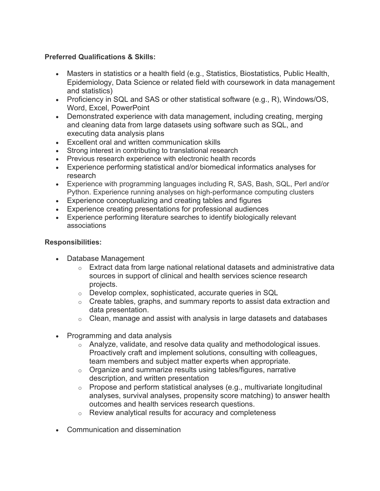## **Preferred Qualifications & Skills:**

- Masters in statistics or a health field (e.g., Statistics, Biostatistics, Public Health, Epidemiology, Data Science or related field with coursework in data management and statistics)
- Proficiency in SQL and SAS or other statistical software (e.g., R), Windows/OS, Word, Excel, PowerPoint
- Demonstrated experience with data management, including creating, merging and cleaning data from large datasets using software such as SQL, and executing data analysis plans
- Excellent oral and written communication skills
- Strong interest in contributing to translational research
- Previous research experience with electronic health records
- Experience performing statistical and/or biomedical informatics analyses for research
- Experience with programming languages including R, SAS, Bash, SQL, Perl and/or Python. Experience running analyses on high-performance computing clusters
- Experience conceptualizing and creating tables and figures
- Experience creating presentations for professional audiences
- Experience performing literature searches to identify biologically relevant associations

## **Responsibilities:**

- Database Management
	- $\circ$  Extract data from large national relational datasets and administrative data sources in support of clinical and health services science research projects.
	- o Develop complex, sophisticated, accurate queries in SQL
	- $\circ$  Create tables, graphs, and summary reports to assist data extraction and data presentation.
	- $\circ$  Clean, manage and assist with analysis in large datasets and databases
- Programming and data analysis
	- o Analyze, validate, and resolve data quality and methodological issues. Proactively craft and implement solutions, consulting with colleagues, team members and subject matter experts when appropriate.
	- o Organize and summarize results using tables/figures, narrative description, and written presentation
	- $\circ$  Propose and perform statistical analyses (e.g., multivariate longitudinal analyses, survival analyses, propensity score matching) to answer health outcomes and health services research questions.
	- o Review analytical results for accuracy and completeness
- Communication and dissemination